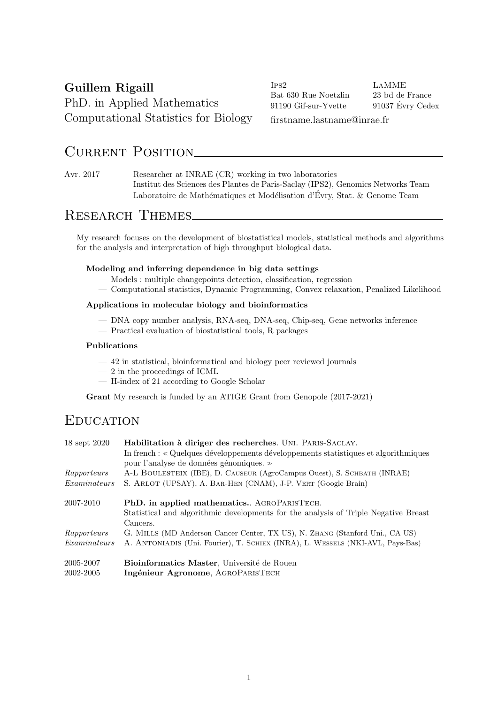## Guillem Rigaill PhD. in Applied Mathematics Computational Statistics for Biology

Ips2 LaMME Bat 630 Rue Noetzlin 23 bd de France 91190 Gif-sur-Yvette <br/> 91037 Évry Cedex

firstname.lastname@inrae.fr

## CURRENT POSITION

Avr. 2017 Researcher at INRAE (CR) working in two laboratories Institut des Sciences des Plantes de Paris-Saclay (IPS2), Genomics Networks Team Laboratoire de Mathématiques et Modélisation d'Évry, Stat. & Genome Team

## Research Themes

My research focuses on the development of biostatistical models, statistical methods and algorithms for the analysis and interpretation of high throughput biological data.

### Modeling and inferring dependence in big data settings

- Models : multiple changepoints detection, classification, regression
- Computational statistics, Dynamic Programming, Convex relaxation, Penalized Likelihood

#### Applications in molecular biology and bioinformatics

- DNA copy number analysis, RNA-seq, DNA-seq, Chip-seq, Gene networks inference
- Practical evaluation of biostatistical tools, R packages

#### Publications

- 42 in statistical, bioinformatical and biology peer reviewed journals
- 2 in the proceedings of ICML
- H-index of 21 according to Google Scholar

Grant My research is funded by an ATIGE Grant from Genopole  $(2017-2021)$ 

### EDUCATION

| 18 sept 2020 | Habilitation à diriger des recherches. UNI. PARIS-SACLAY.                           |
|--------------|-------------------------------------------------------------------------------------|
|              | In french : « Quelques développements développements statistiques et algorithmiques |
|              | pour l'analyse de données génomiques. »                                             |
| Rapporteurs  | A-L BOULESTEIX (IBE), D. CAUSEUR (AgroCampus Ouest), S. SCHBATH (INRAE)             |
| Examinateurs | S. ARLOT (UPSAY), A. BAR-HEN (CNAM), J-P. VERT (Google Brain)                       |
| 2007-2010    | <b>PhD.</b> in applied mathematics AGROPARISTECH.                                   |
|              | Statistical and algorithmic developments for the analysis of Triple Negative Breast |
|              | Cancers.                                                                            |
| Rapporteurs  | G. MILLS (MD Anderson Cancer Center, TX US), N. ZHANG (Stanford Uni., CA US)        |
| Examinateurs | A. ANTONIADIS (Uni. Fourier), T. SCHIEX (INRA), L. WESSELS (NKI-AVL, Pays-Bas)      |
| 2005-2007    | Bioinformatics Master, Université de Rouen                                          |
| 2002-2005    | Ingénieur Agronome, AGROPARISTECH                                                   |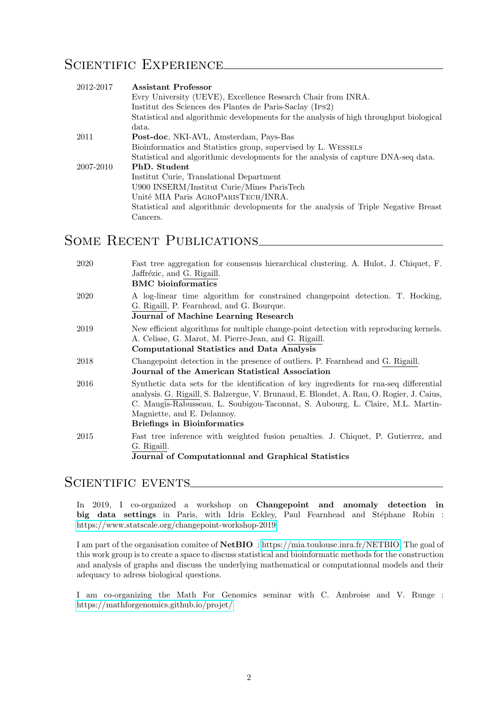## SCIENTIFIC EXPERIENCE

| 2012-2017 | <b>Assistant Professor</b>                                                              |
|-----------|-----------------------------------------------------------------------------------------|
|           | Evry University (UEVE), Excellence Research Chair from INRA.                            |
|           | Institut des Sciences des Plantes de Paris-Saclay (IPS2)                                |
|           | Statistical and algorithmic developments for the analysis of high throughput biological |
|           | data.                                                                                   |
| 2011      | <b>Post-doc</b> , NKI-AVL, Amsterdam, Pays-Bas                                          |
|           | Bioinformatics and Statistics group, supervised by L. WESSELS                           |
|           | Statistical and algorithmic developments for the analysis of capture DNA-seq data.      |
| 2007-2010 | PhD. Student                                                                            |
|           | Institut Curie, Translational Department                                                |
|           | U900 INSERM/Institut Curie/Mines ParisTech                                              |
|           | Unité MIA Paris AGROPARISTECH/INRA.                                                     |
|           | Statistical and algorithmic developments for the analysis of Triple Negative Breast     |
|           | $\rm{Cancers.}$                                                                         |

# SOME RECENT PUBLICATIONS

| 2020 | Fast tree aggregation for consensus hierarchical clustering. A. Hulot, J. Chiquet, F.<br>Jaffrézic, and G. Rigaill.<br><b>BMC</b> bioinformatics                                                                                                                                                                                          |
|------|-------------------------------------------------------------------------------------------------------------------------------------------------------------------------------------------------------------------------------------------------------------------------------------------------------------------------------------------|
| 2020 | A log-linear time algorithm for constrained changepoint detection. T. Hocking,<br>G. Rigaill, P. Fearnhead, and G. Bourque.<br>Journal of Machine Learning Research                                                                                                                                                                       |
| 2019 | New efficient algorithms for multiple change-point detection with reproducing kernels.<br>A. Celisse, G. Marot, M. Pierre-Jean, and G. Rigaill.<br><b>Computational Statistics and Data Analysis</b>                                                                                                                                      |
| 2018 | Changepoint detection in the presence of outliers. P. Fearnhead and G. Rigaill.<br>Journal of the American Statistical Association                                                                                                                                                                                                        |
| 2016 | Synthetic data sets for the identification of key ingredients for rna-seq differential<br>analysis. G. Rigaill, S. Balzergue, V. Brunaud, E. Blondet, A. Rau, O. Rogier, J. Caius,<br>C. Maugis-Rabusseau, L. Soubigou-Taconnat, S. Aubourg, L. Claire, M.L. Martin-<br>Magniette, and E. Delannoy.<br><b>Briefings in Bioinformatics</b> |
| 2015 | Fast tree inference with weighted fusion penalties. J. Chiquet, P. Gutierrez, and<br>G. Rigaill.<br>Journal of Computationnal and Graphical Statistics                                                                                                                                                                                    |

### SCIENTIFIC EVENTS

In 2019, I co-organized a workshop on Changepoint and anomaly detection in big data settings in Paris, with Idris Eckley, Paul Fearnhead and Stéphane Robin : [https://www.statscale.org/changepoint-workshop-2019.](https://www.statscale.org/changepoint-workshop-2019)

I am part of the organisation comitee of NetBIO : [https://mia.toulouse.inra.fr/NETBIO.](https://mia.toulouse.inra.fr/NETBIO) The goal of this work group is to create a space to discuss statistical and bioinformatic methods for the construction and analysis of graphs and discuss the underlying mathematical or computationnal models and their adequacy to adress biological questions.

I am co-organizing the Math For Genomics seminar with C. Ambroise and V. Runge : <https://mathforgenomics.github.io/projet/>